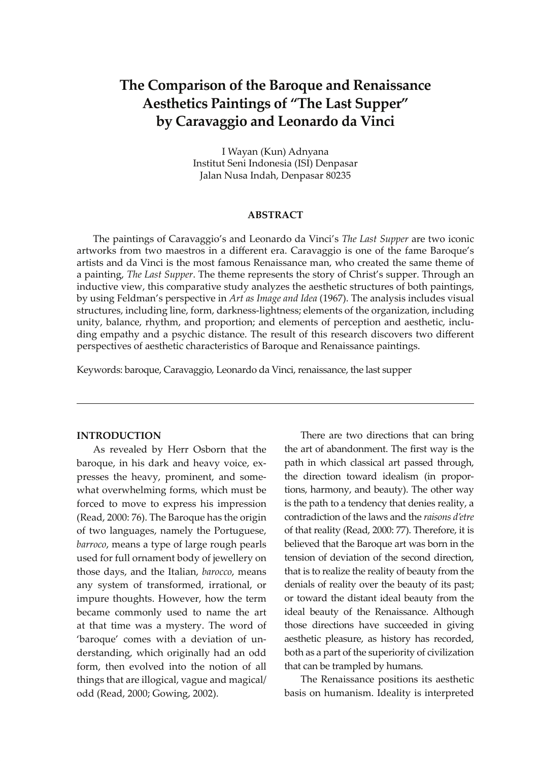# **The Comparison of the Baroque and Renaissance Aesthetics Paintings of "The Last Supper" by Caravaggio and Leonardo da Vinci**

I Wayan (Kun) Adnyana Institut Seni Indonesia (ISI) Denpasar Jalan Nusa Indah, Denpasar 80235

### **ABSTRACT**

The paintings of Caravaggio's and Leonardo da Vinci's *The Last Supper* are two iconic artworks from two maestros in a different era. Caravaggio is one of the fame Baroque's artists and da Vinci is the most famous Renaissance man, who created the same theme of a painting, *The Last Supper*. The theme represents the story of Christ's supper. Through an inductive view, this comparative study analyzes the aesthetic structures of both paintings, by using Feldman's perspective in *Art as Image and Idea* (1967). The analysis includes visual structures, including line, form, darkness-lightness; elements of the organization, including unity, balance, rhythm, and proportion; and elements of perception and aesthetic, including empathy and a psychic distance. The result of this research discovers two different perspectives of aesthetic characteristics of Baroque and Renaissance paintings.

Keywords: baroque, Caravaggio, Leonardo da Vinci, renaissance, the last supper

#### **INTRODUCTION**

As revealed by Herr Osborn that the baroque, in his dark and heavy voice, expresses the heavy, prominent, and somewhat overwhelming forms, which must be forced to move to express his impression (Read, 2000: 76). The Baroque has the origin of two languages, namely the Portuguese, *barroco*, means a type of large rough pearls used for full ornament body of jewellery on those days, and the Italian, *barocco*, means any system of transformed, irrational, or impure thoughts. However, how the term became commonly used to name the art at that time was a mystery. The word of 'baroque' comes with a deviation of understanding, which originally had an odd form, then evolved into the notion of all things that are illogical, vague and magical/ odd (Read, 2000; Gowing, 2002).

There are two directions that can bring the art of abandonment. The first way is the path in which classical art passed through, the direction toward idealism (in proportions, harmony, and beauty). The other way is the path to a tendency that denies reality, a contradiction of the laws and the *raisons d'etre* of that reality (Read, 2000: 77). Therefore, it is believed that the Baroque art was born in the tension of deviation of the second direction, that is to realize the reality of beauty from the denials of reality over the beauty of its past; or toward the distant ideal beauty from the ideal beauty of the Renaissance. Although those directions have succeeded in giving aesthetic pleasure, as history has recorded, both as a part of the superiority of civilization that can be trampled by humans.

The Renaissance positions its aesthetic basis on humanism. Ideality is interpreted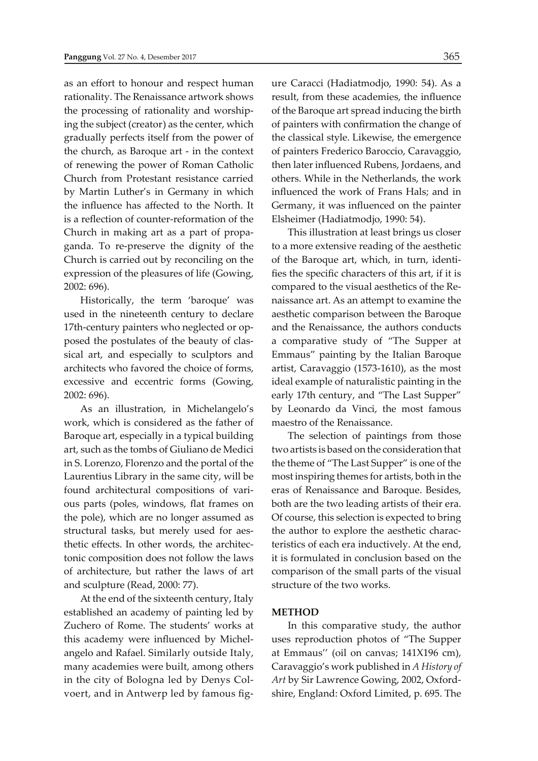as an effort to honour and respect human rationality. The Renaissance artwork shows the processing of rationality and worshiping the subject (creator) as the center, which gradually perfects itself from the power of the church, as Baroque art - in the context of renewing the power of Roman Catholic Church from Protestant resistance carried by Martin Luther's in Germany in which the influence has affected to the North. It is a reflection of counter-reformation of the Church in making art as a part of propaganda. To re-preserve the dignity of the Church is carried out by reconciling on the expression of the pleasures of life (Gowing, 2002: 696).

Historically, the term 'baroque' was used in the nineteenth century to declare 17th-century painters who neglected or opposed the postulates of the beauty of classical art, and especially to sculptors and architects who favored the choice of forms, excessive and eccentric forms (Gowing, 2002: 696).

As an illustration, in Michelangelo's work, which is considered as the father of Baroque art, especially in a typical building art, such as the tombs of Giuliano de Medici in S. Lorenzo, Florenzo and the portal of the Laurentius Library in the same city, will be found architectural compositions of various parts (poles, windows, flat frames on the pole), which are no longer assumed as structural tasks, but merely used for aesthetic effects. In other words, the architectonic composition does not follow the laws of architecture, but rather the laws of art and sculpture (Read, 2000: 77).

At the end of the sixteenth century, Italy established an academy of painting led by Zuchero of Rome. The students' works at this academy were influenced by Michelangelo and Rafael. Similarly outside Italy, many academies were built, among others in the city of Bologna led by Denys Colvoert, and in Antwerp led by famous figure Caracci (Hadiatmodjo, 1990: 54). As a result, from these academies, the influence of the Baroque art spread inducing the birth of painters with confirmation the change of the classical style. Likewise, the emergence of painters Frederico Baroccio, Caravaggio, then later influenced Rubens, Jordaens, and others. While in the Netherlands, the work influenced the work of Frans Hals; and in Germany, it was influenced on the painter Elsheimer (Hadiatmodjo, 1990: 54).

This illustration at least brings us closer to a more extensive reading of the aesthetic of the Baroque art, which, in turn, identifies the specific characters of this art, if it is compared to the visual aesthetics of the Renaissance art. As an attempt to examine the aesthetic comparison between the Baroque and the Renaissance, the authors conducts a comparative study of "The Supper at Emmaus" painting by the Italian Baroque artist, Caravaggio (1573-1610), as the most ideal example of naturalistic painting in the early 17th century, and "The Last Supper" by Leonardo da Vinci, the most famous maestro of the Renaissance.

The selection of paintings from those two artists is based on the consideration that the theme of "The Last Supper" is one of the most inspiring themes for artists, both in the eras of Renaissance and Baroque. Besides, both are the two leading artists of their era. Of course, this selection is expected to bring the author to explore the aesthetic characteristics of each era inductively. At the end, it is formulated in conclusion based on the comparison of the small parts of the visual structure of the two works.

#### **METHOD**

In this comparative study, the author uses reproduction photos of "The Supper at Emmaus'' (oil on canvas; 141X196 cm), Caravaggio's work published in *A History of Art* by Sir Lawrence Gowing, 2002, Oxfordshire, England: Oxford Limited, p. 695. The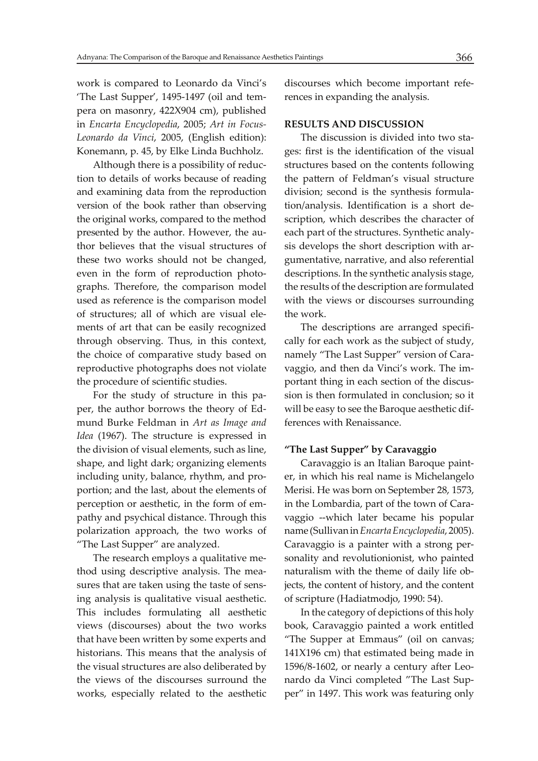work is compared to Leonardo da Vinci's 'The Last Supper', 1495-1497 (oil and tempera on masonry, 422X904 cm), published in *Encarta Encyclopedia*, 2005; *Art in Focus-Leonardo da Vinci*, 2005, (English edition): Konemann, p. 45, by Elke Linda Buchholz.

Although there is a possibility of reduction to details of works because of reading and examining data from the reproduction version of the book rather than observing the original works, compared to the method presented by the author. However, the author believes that the visual structures of these two works should not be changed, even in the form of reproduction photographs. Therefore, the comparison model used as reference is the comparison model of structures; all of which are visual elements of art that can be easily recognized through observing. Thus, in this context, the choice of comparative study based on reproductive photographs does not violate the procedure of scientific studies.

For the study of structure in this paper, the author borrows the theory of Edmund Burke Feldman in *Art as Image and Idea* (1967). The structure is expressed in the division of visual elements, such as line, shape, and light dark; organizing elements including unity, balance, rhythm, and proportion; and the last, about the elements of perception or aesthetic, in the form of empathy and psychical distance. Through this polarization approach, the two works of "The Last Supper" are analyzed.

The research employs a qualitative method using descriptive analysis. The measures that are taken using the taste of sensing analysis is qualitative visual aesthetic. This includes formulating all aesthetic views (discourses) about the two works that have been written by some experts and historians. This means that the analysis of the visual structures are also deliberated by the views of the discourses surround the works, especially related to the aesthetic discourses which become important references in expanding the analysis.

#### **RESULTS AND DISCUSSION**

The discussion is divided into two stages: first is the identification of the visual structures based on the contents following the pattern of Feldman's visual structure division; second is the synthesis formulation/analysis. Identification is a short description, which describes the character of each part of the structures. Synthetic analysis develops the short description with argumentative, narrative, and also referential descriptions. In the synthetic analysis stage, the results of the description are formulated with the views or discourses surrounding the work.

The descriptions are arranged specifically for each work as the subject of study, namely "The Last Supper" version of Caravaggio, and then da Vinci's work. The important thing in each section of the discussion is then formulated in conclusion; so it will be easy to see the Baroque aesthetic differences with Renaissance.

## **"The Last Supper" by Caravaggio**

Caravaggio is an Italian Baroque painter, in which his real name is Michelangelo Merisi. He was born on September 28, 1573, in the Lombardia, part of the town of Caravaggio --which later became his popular name (Sullivan in *Encarta Encyclopedia*, 2005). Caravaggio is a painter with a strong personality and revolutionionist, who painted naturalism with the theme of daily life objects, the content of history, and the content of scripture (Hadiatmodjo, 1990: 54).

In the category of depictions of this holy book, Caravaggio painted a work entitled "The Supper at Emmaus" (oil on canvas; 141X196 cm) that estimated being made in 1596/8-1602, or nearly a century after Leonardo da Vinci completed "The Last Supper" in 1497. This work was featuring only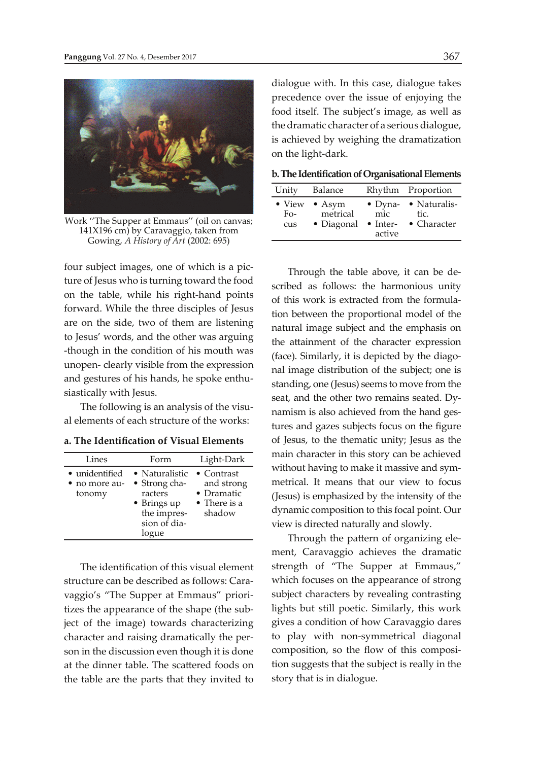

Work ''The Supper at Emmaus'' (oil on canvas; 141X196 cm) by Caravaggio, taken from Gowing, *A History of Art* (2002: 695)

four subject images, one of which is a picture of Jesus who is turning toward the food on the table, while his right-hand points forward. While the three disciples of Jesus are on the side, two of them are listening to Jesus' words, and the other was arguing -though in the condition of his mouth was unopen- clearly visible from the expression and gestures of his hands, he spoke enthusiastically with Jesus.

The following is an analysis of the visual elements of each structure of the works:

| a. The Identification of Visual Elements |  |
|------------------------------------------|--|
|------------------------------------------|--|

| Lines                                     | Form                                                                                              | Light-Dark                                                                       |
|-------------------------------------------|---------------------------------------------------------------------------------------------------|----------------------------------------------------------------------------------|
| • unidentified<br>• no more au-<br>tonomy | • Naturalistic<br>• Strong cha-<br>racters<br>• Brings up<br>the impres-<br>sion of dia-<br>logue | $\bullet$ Contrast<br>and strong<br>$\bullet$ Dramatic<br>• There is a<br>shadow |

The identification of this visual element structure can be described as follows: Caravaggio's "The Supper at Emmaus" prioritizes the appearance of the shape (the subject of the image) towards characterizing character and raising dramatically the person in the discussion even though it is done at the dinner table. The scattered foods on the table are the parts that they invited to dialogue with. In this case, dialogue takes precedence over the issue of enjoying the food itself. The subject's image, as well as the dramatic character of a serious dialogue, is achieved by weighing the dramatization on the light-dark.

|  |  |  |  |  |  |  |  | b. The Identification of Organisational Elements |
|--|--|--|--|--|--|--|--|--------------------------------------------------|
|--|--|--|--|--|--|--|--|--------------------------------------------------|

| Unity                              | Balance                                  |                                                      | Rhythm Proportion                           |
|------------------------------------|------------------------------------------|------------------------------------------------------|---------------------------------------------|
| $\bullet$ View<br>$F_{O^-}$<br>cus | $\bullet$ Asym<br>metrical<br>• Diagonal | $\bullet$ Dyna-<br>mic<br>$\bullet$ Inter-<br>active | • Naturalis-<br>tic.<br>$\bullet$ Character |

Through the table above, it can be described as follows: the harmonious unity of this work is extracted from the formulation between the proportional model of the natural image subject and the emphasis on the attainment of the character expression (face). Similarly, it is depicted by the diagonal image distribution of the subject; one is standing, one (Jesus) seems to move from the seat, and the other two remains seated. Dynamism is also achieved from the hand gestures and gazes subjects focus on the figure of Jesus, to the thematic unity; Jesus as the main character in this story can be achieved without having to make it massive and symmetrical. It means that our view to focus (Jesus) is emphasized by the intensity of the dynamic composition to this focal point. Our view is directed naturally and slowly.

Through the pattern of organizing element, Caravaggio achieves the dramatic strength of "The Supper at Emmaus," which focuses on the appearance of strong subject characters by revealing contrasting lights but still poetic. Similarly, this work gives a condition of how Caravaggio dares to play with non-symmetrical diagonal composition, so the flow of this composition suggests that the subject is really in the story that is in dialogue.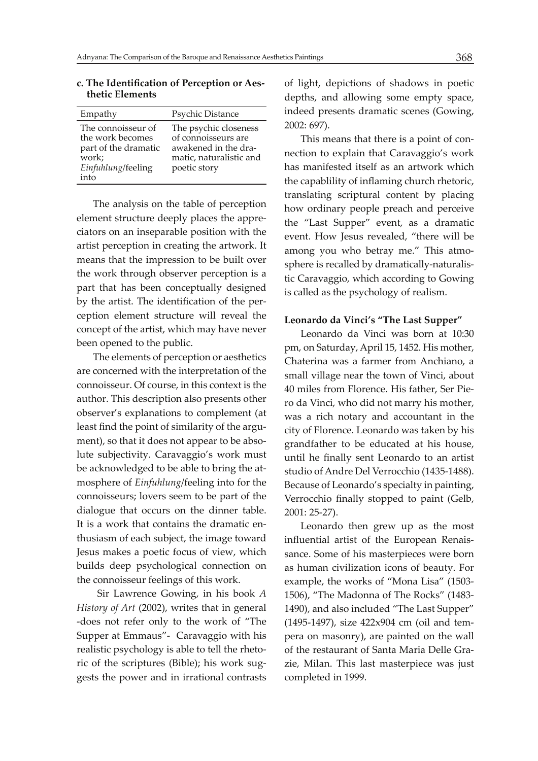| Empathy                                                                                                          | Psychic Distance                                                                                                |
|------------------------------------------------------------------------------------------------------------------|-----------------------------------------------------------------------------------------------------------------|
| The connoisseur of<br>the work becomes<br>part of the dramatic<br>work;<br>Einfuhlung/feeling<br>$\mathsf{into}$ | The psychic closeness<br>of connoisseurs are<br>awakened in the dra-<br>matic, naturalistic and<br>poetic story |

#### **c. The Identifi cation of Perception or Aes thetic Elements**

The analysis on the table of perception element structure deeply places the appreciators on an inseparable position with the artist perception in creating the artwork. It means that the impression to be built over the work through observer perception is a part that has been conceptually designed by the artist. The identification of the perception element structure will reveal the concept of the artist, which may have never been opened to the public.

The elements of perception or aesthetics are concerned with the interpretation of the connoisseur. Of course, in this context is the author. This description also presents other observer's explanations to complement (at least find the point of similarity of the argument), so that it does not appear to be absolute subjectivity. Caravaggio's work must be acknowledged to be able to bring the atmosphere of *Einfuhlung*/feeling into for the connoisseurs; lovers seem to be part of the dialogue that occurs on the dinner table. It is a work that contains the dramatic enthusiasm of each subject, the image toward Jesus makes a poetic focus of view, which builds deep psychological connection on the connoisseur feelings of this work.

 Sir Lawrence Gowing, in his book *A History of Art* (2002), writes that in general -does not refer only to the work of "The Supper at Emmaus"- Caravaggio with his realistic psychology is able to tell the rhetoric of the scriptures (Bible); his work suggests the power and in irrational contrasts

of light, depictions of shadows in poetic depths, and allowing some empty space, indeed presents dramatic scenes (Gowing, 2002: 697).

This means that there is a point of connection to explain that Caravaggio's work has manifested itself as an artwork which the capablility of inflaming church rhetoric, translating scriptural content by placing how ordinary people preach and perceive the "Last Supper" event, as a dramatic event. How Jesus revealed, "there will be among you who betray me." This atmosphere is recalled by dramatically-naturalistic Caravaggio, which according to Gowing is called as the psychology of realism.

#### **Leonardo da Vinci's "The Last Supper"**

Leonardo da Vinci was born at 10:30 pm, on Saturday, April 15, 1452. His mother, Chaterina was a farmer from Anchiano, a small village near the town of Vinci, about 40 miles from Florence. His father, Ser Piero da Vinci, who did not marry his mother, was a rich notary and accountant in the city of Florence. Leonardo was taken by his grandfather to be educated at his house, until he finally sent Leonardo to an artist studio of Andre Del Verrocchio (1435-1488). Because of Leonardo's specialty in painting, Verrocchio finally stopped to paint (Gelb, 2001: 25-27).

Leonardo then grew up as the most influential artist of the European Renaissance. Some of his masterpieces were born as human civilization icons of beauty. For example, the works of "Mona Lisa" (1503- 1506), "The Madonna of The Rocks" (1483- 1490), and also included "The Last Supper" (1495-1497), size 422x904 cm (oil and tempera on masonry), are painted on the wall of the restaurant of Santa Maria Delle Grazie, Milan. This last masterpiece was just completed in 1999.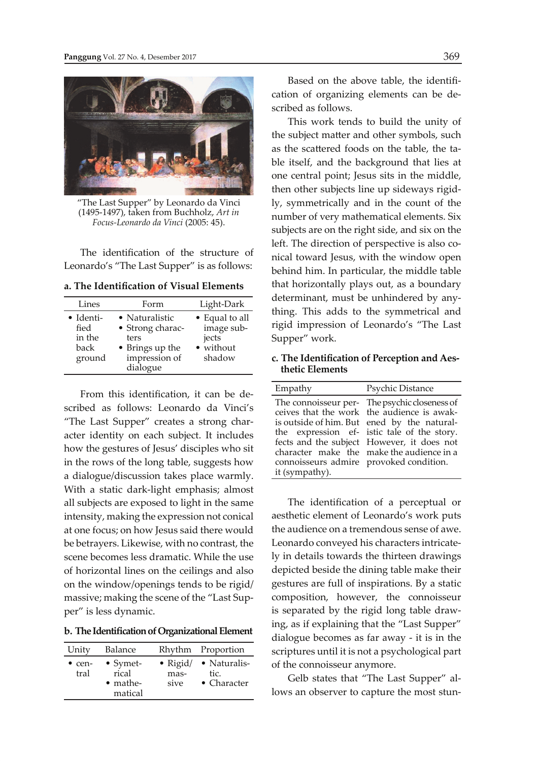

"The Last Supper" by Leonardo da Vinci (1495-1497), taken from Buchholz, *Art in Focus-Leonardo da Vinci* (2005: 45).

The identification of the structure of Leonardo's "The Last Supper" is as follows:

**a. The Identifi cation of Visual Elements**

| Lines                                         | Form                                                                                       | Light-Dark                                                   |
|-----------------------------------------------|--------------------------------------------------------------------------------------------|--------------------------------------------------------------|
| • Identi-<br>fied<br>in the<br>back<br>ground | • Naturalistic<br>• Strong charac-<br>ters<br>• Brings up the<br>impression of<br>dialogue | • Equal to all<br>image sub-<br>jects<br>• without<br>shadow |

From this identification, it can be described as follows: Leonardo da Vinci's "The Last Supper" creates a strong character identity on each subject. It includes how the gestures of Jesus' disciples who sit in the rows of the long table, suggests how a dialogue/discussion takes place warmly. With a static dark-light emphasis; almost all subjects are exposed to light in the same intensity, making the expression not conical at one focus; on how Jesus said there would be betrayers. Likewise, with no contrast, the scene becomes less dramatic. While the use of horizontal lines on the ceilings and also on the window/openings tends to be rigid/ massive; making the scene of the "Last Supper" is less dynamic.

**b. The Identification of Organizational Element**

| Unity                  | Balance                                                  |              | Rhythm Proportion                                    |
|------------------------|----------------------------------------------------------|--------------|------------------------------------------------------|
| $\bullet$ cen-<br>tral | $\bullet$ Symet-<br>rical<br>$\bullet$ mathe-<br>matical | mas-<br>sive | • Rigid/ • Naturalis-<br>tic.<br>$\bullet$ Character |

Based on the above table, the identification of organizing elements can be described as follows.

This work tends to build the unity of the subject matter and other symbols, such as the scattered foods on the table, the table itself, and the background that lies at one central point; Jesus sits in the middle, then other subjects line up sideways rigidly, symmetrically and in the count of the number of very mathematical elements. Six subjects are on the right side, and six on the left. The direction of perspective is also conical toward Jesus, with the window open behind him. In particular, the middle table that horizontally plays out, as a boundary determinant, must be unhindered by anything. This adds to the symmetrical and rigid impression of Leonardo's "The Last Supper" work.

**c. The Identifi cation of Perception and Aes thetic Elements**

| Empathy                                                   | Psychic Distance                                                                                                                                                                                                                                                                     |
|-----------------------------------------------------------|--------------------------------------------------------------------------------------------------------------------------------------------------------------------------------------------------------------------------------------------------------------------------------------|
| connoisseurs admire provoked condition.<br>it (sympathy). | The connoisseur per- The psychic closeness of<br>ceives that the work the audience is awak-<br>is outside of him. But ened by the natural-<br>the expression ef- istic tale of the story.<br>fects and the subject However, it does not<br>character make the make the audience in a |

The identification of a perceptual or aesthetic element of Leonardo's work puts the audience on a tremendous sense of awe. Leonardo conveyed his characters intricately in details towards the thirteen drawings depicted beside the dining table make their gestures are full of inspirations. By a static composition, however, the connoisseur is separated by the rigid long table drawing, as if explaining that the "Last Supper" dialogue becomes as far away - it is in the scriptures until it is not a psychological part of the connoisseur anymore.

Gelb states that "The Last Supper" allows an observer to capture the most stun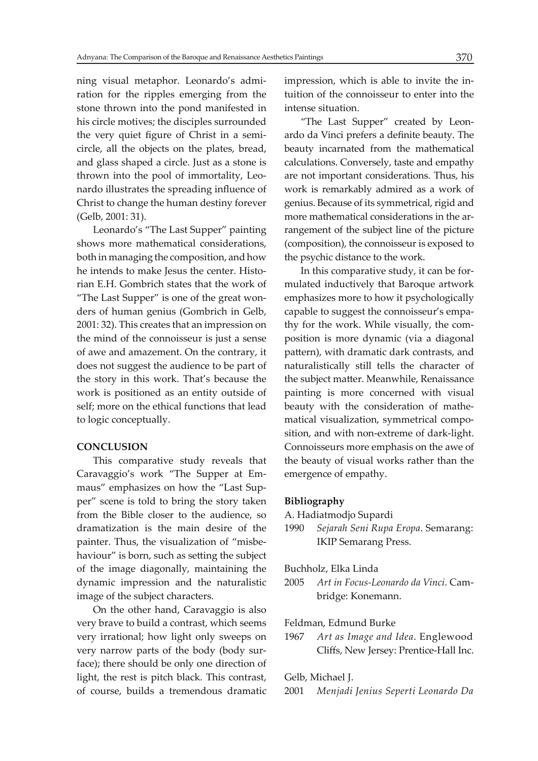ning visual metaphor. Leonardo's admiration for the ripples emerging from the stone thrown into the pond manifested in his circle motives; the disciples surrounded the very quiet figure of Christ in a semicircle, all the objects on the plates, bread, and glass shaped a circle. Just as a stone is thrown into the pool of immortality, Leonardo illustrates the spreading influence of Christ to change the human destiny forever (Gelb, 2001: 31).

Leonardo's "The Last Supper" painting shows more mathematical considerations, both in managing the composition, and how he intends to make Jesus the center. Historian E.H. Gombrich states that the work of "The Last Supper" is one of the great wonders of human genius (Gombrich in Gelb, 2001: 32). This creates that an impression on the mind of the connoisseur is just a sense of awe and amazement. On the contrary, it does not suggest the audience to be part of the story in this work. That's because the work is positioned as an entity outside of self; more on the ethical functions that lead to logic conceptually.

#### **CONCLUSION**

This comparative study reveals that Caravaggio's work "The Supper at Emmaus" emphasizes on how the "Last Supper" scene is told to bring the story taken from the Bible closer to the audience, so dramatization is the main desire of the painter. Thus, the visualization of "misbehaviour" is born, such as setting the subject of the image diagonally, maintaining the dynamic impression and the naturalistic image of the subject characters.

On the other hand, Caravaggio is also very brave to build a contrast, which seems very irrational; how light only sweeps on very narrow parts of the body (body surface); there should be only one direction of light, the rest is pitch black. This contrast, of course, builds a tremendous dramatic impression, which is able to invite the intuition of the connoisseur to enter into the intense situation.

"The Last Supper" created by Leonardo da Vinci prefers a definite beauty. The beauty incarnated from the mathematical calculations. Conversely, taste and empathy are not important considerations. Thus, his work is remarkably admired as a work of genius. Because of its symmetrical, rigid and more mathematical considerations in the arrangement of the subject line of the picture (composition), the connoisseur is exposed to the psychic distance to the work.

In this comparative study, it can be formulated inductively that Baroque artwork emphasizes more to how it psychologically capable to suggest the connoisseur's empathy for the work. While visually, the composition is more dynamic (via a diagonal pattern), with dramatic dark contrasts, and naturalistically still tells the character of the subject matter. Meanwhile, Renaissance painting is more concerned with visual beauty with the consideration of mathematical visualization, symmetrical composition, and with non-extreme of dark-light. Connoisseurs more emphasis on the awe of the beauty of visual works rather than the emergence of empathy.

## **Bibliography**

- A. Hadiatmodjo Supardi
- 1990 *Sejarah Seni Rupa Eropa*. Semarang: IKIP Semarang Press.

Buchholz, Elka Linda

2005 *Art in Focus-Leonardo da Vinci*. Cam bridge: Konemann.

#### Feldman, Edmund Burke

1967 *Art as Image and Idea*. Englewood Cliffs, New Jersey: Prentice-Hall Inc.

### Gelb, Michael J.

2001 *Menjadi Jenius Seperti Leonardo Da*